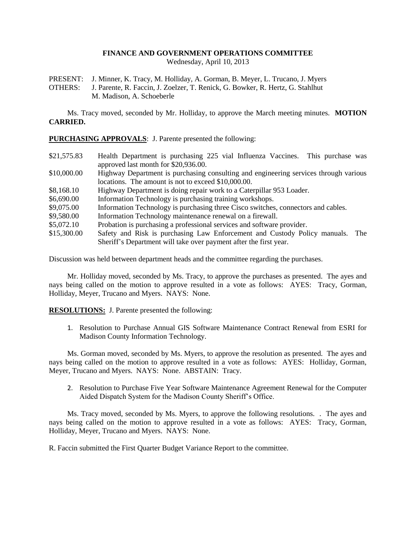# **FINANCE AND GOVERNMENT OPERATIONS COMMITTEE**

Wednesday, April 10, 2013

PRESENT: J. Minner, K. Tracy, M. Holliday, A. Gorman, B. Meyer, L. Trucano, J. Myers

OTHERS: J. Parente, R. Faccin, J. Zoelzer, T. Renick, G. Bowker, R. Hertz, G. Stahlhut M. Madison, A. Schoeberle

Ms. Tracy moved, seconded by Mr. Holliday, to approve the March meeting minutes. **MOTION CARRIED.**

**PURCHASING APPROVALS**: J. Parente presented the following:

- \$21,575.83 Health Department is purchasing 225 vial Influenza Vaccines. This purchase was approved last month for \$20,936.00.
- \$10,000.00 Highway Department is purchasing consulting and engineering services through various locations. The amount is not to exceed \$10,000.00.
- \$8,168.10 Highway Department is doing repair work to a Caterpillar 953 Loader.
- \$6,690.00 Information Technology is purchasing training workshops.
- \$9,075.00 Information Technology is purchasing three Cisco switches, connectors and cables.
- \$9,580.00 Information Technology maintenance renewal on a firewall.
- \$5,072.10 Probation is purchasing a professional services and software provider.
- \$15,300.00 Safety and Risk is purchasing Law Enforcement and Custody Policy manuals. The Sheriff's Department will take over payment after the first year.

Discussion was held between department heads and the committee regarding the purchases.

Mr. Holliday moved, seconded by Ms. Tracy, to approve the purchases as presented. The ayes and nays being called on the motion to approve resulted in a vote as follows: AYES: Tracy, Gorman, Holliday, Meyer, Trucano and Myers. NAYS: None.

**RESOLUTIONS:** J. Parente presented the following:

1. Resolution to Purchase Annual GIS Software Maintenance Contract Renewal from ESRI for Madison County Information Technology.

Ms. Gorman moved, seconded by Ms. Myers, to approve the resolution as presented. The ayes and nays being called on the motion to approve resulted in a vote as follows: AYES: Holliday, Gorman, Meyer, Trucano and Myers. NAYS: None. ABSTAIN: Tracy.

2. Resolution to Purchase Five Year Software Maintenance Agreement Renewal for the Computer Aided Dispatch System for the Madison County Sheriff's Office.

Ms. Tracy moved, seconded by Ms. Myers, to approve the following resolutions. . The ayes and nays being called on the motion to approve resulted in a vote as follows: AYES: Tracy, Gorman, Holliday, Meyer, Trucano and Myers. NAYS: None.

R. Faccin submitted the First Quarter Budget Variance Report to the committee.